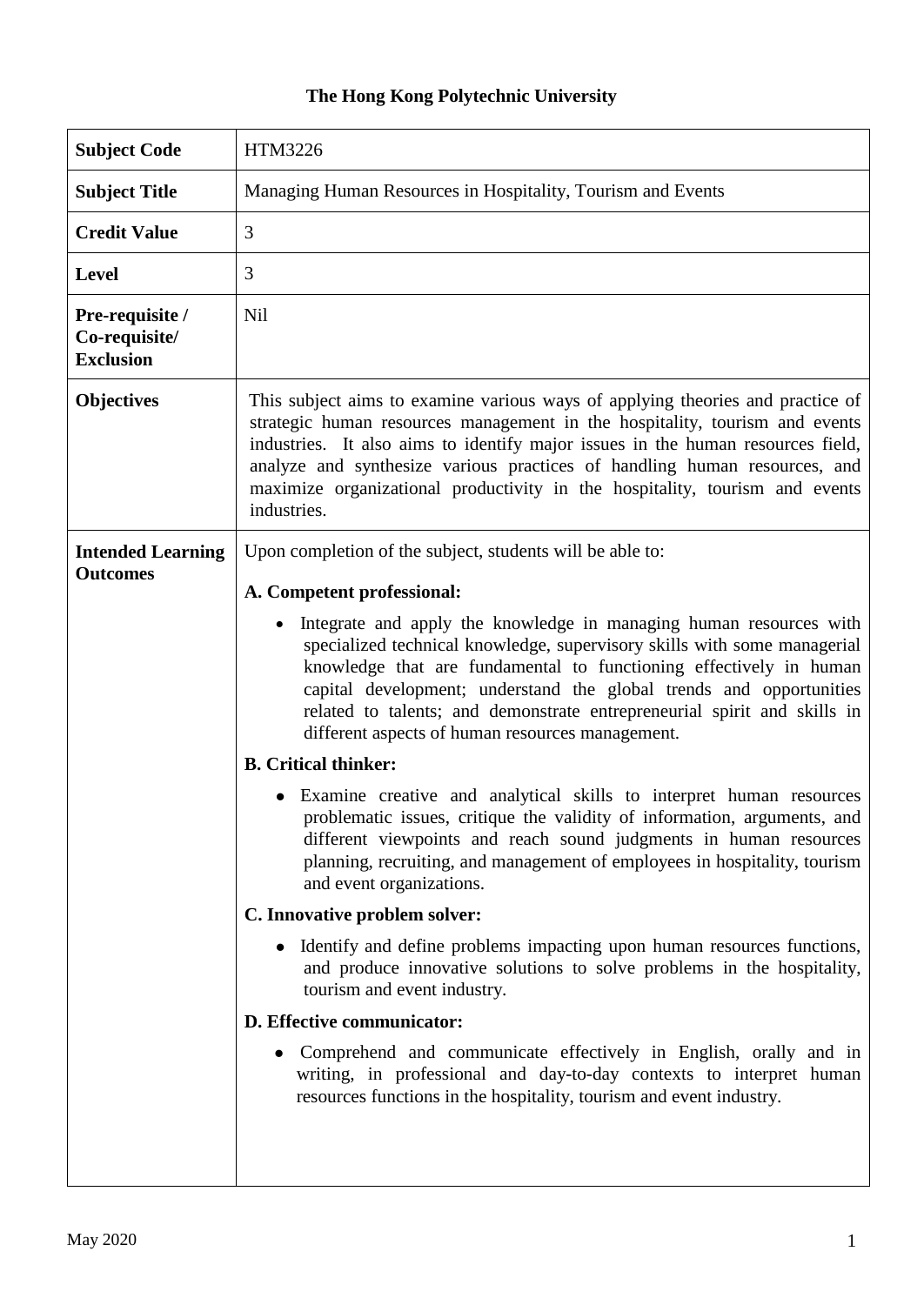## **The Hong Kong Polytechnic University**

| <b>Subject Code</b>                                  | HTM3226                                                                                                                                                                                                                                                                                                                                                                                                                                  |
|------------------------------------------------------|------------------------------------------------------------------------------------------------------------------------------------------------------------------------------------------------------------------------------------------------------------------------------------------------------------------------------------------------------------------------------------------------------------------------------------------|
| <b>Subject Title</b>                                 | Managing Human Resources in Hospitality, Tourism and Events                                                                                                                                                                                                                                                                                                                                                                              |
| <b>Credit Value</b>                                  | 3                                                                                                                                                                                                                                                                                                                                                                                                                                        |
| <b>Level</b>                                         | 3                                                                                                                                                                                                                                                                                                                                                                                                                                        |
| Pre-requisite /<br>Co-requisite/<br><b>Exclusion</b> | <b>Nil</b>                                                                                                                                                                                                                                                                                                                                                                                                                               |
| <b>Objectives</b>                                    | This subject aims to examine various ways of applying theories and practice of<br>strategic human resources management in the hospitality, tourism and events<br>industries. It also aims to identify major issues in the human resources field,<br>analyze and synthesize various practices of handling human resources, and<br>maximize organizational productivity in the hospitality, tourism and events<br>industries.              |
| <b>Intended Learning</b><br><b>Outcomes</b>          | Upon completion of the subject, students will be able to:<br>A. Competent professional:                                                                                                                                                                                                                                                                                                                                                  |
|                                                      | Integrate and apply the knowledge in managing human resources with<br>$\bullet$<br>specialized technical knowledge, supervisory skills with some managerial<br>knowledge that are fundamental to functioning effectively in human<br>capital development; understand the global trends and opportunities<br>related to talents; and demonstrate entrepreneurial spirit and skills in<br>different aspects of human resources management. |
|                                                      | <b>B.</b> Critical thinker:                                                                                                                                                                                                                                                                                                                                                                                                              |
|                                                      | Examine creative and analytical skills to interpret human resources<br>$\bullet$<br>problematic issues, critique the validity of information, arguments, and<br>different viewpoints and reach sound judgments in human resources<br>planning, recruiting, and management of employees in hospitality, tourism<br>and event organizations.                                                                                               |
|                                                      | C. Innovative problem solver:                                                                                                                                                                                                                                                                                                                                                                                                            |
|                                                      | Identify and define problems impacting upon human resources functions,<br>and produce innovative solutions to solve problems in the hospitality,<br>tourism and event industry.                                                                                                                                                                                                                                                          |
|                                                      | D. Effective communicator:                                                                                                                                                                                                                                                                                                                                                                                                               |
|                                                      | Comprehend and communicate effectively in English, orally and in<br>writing, in professional and day-to-day contexts to interpret human<br>resources functions in the hospitality, tourism and event industry.                                                                                                                                                                                                                           |
|                                                      |                                                                                                                                                                                                                                                                                                                                                                                                                                          |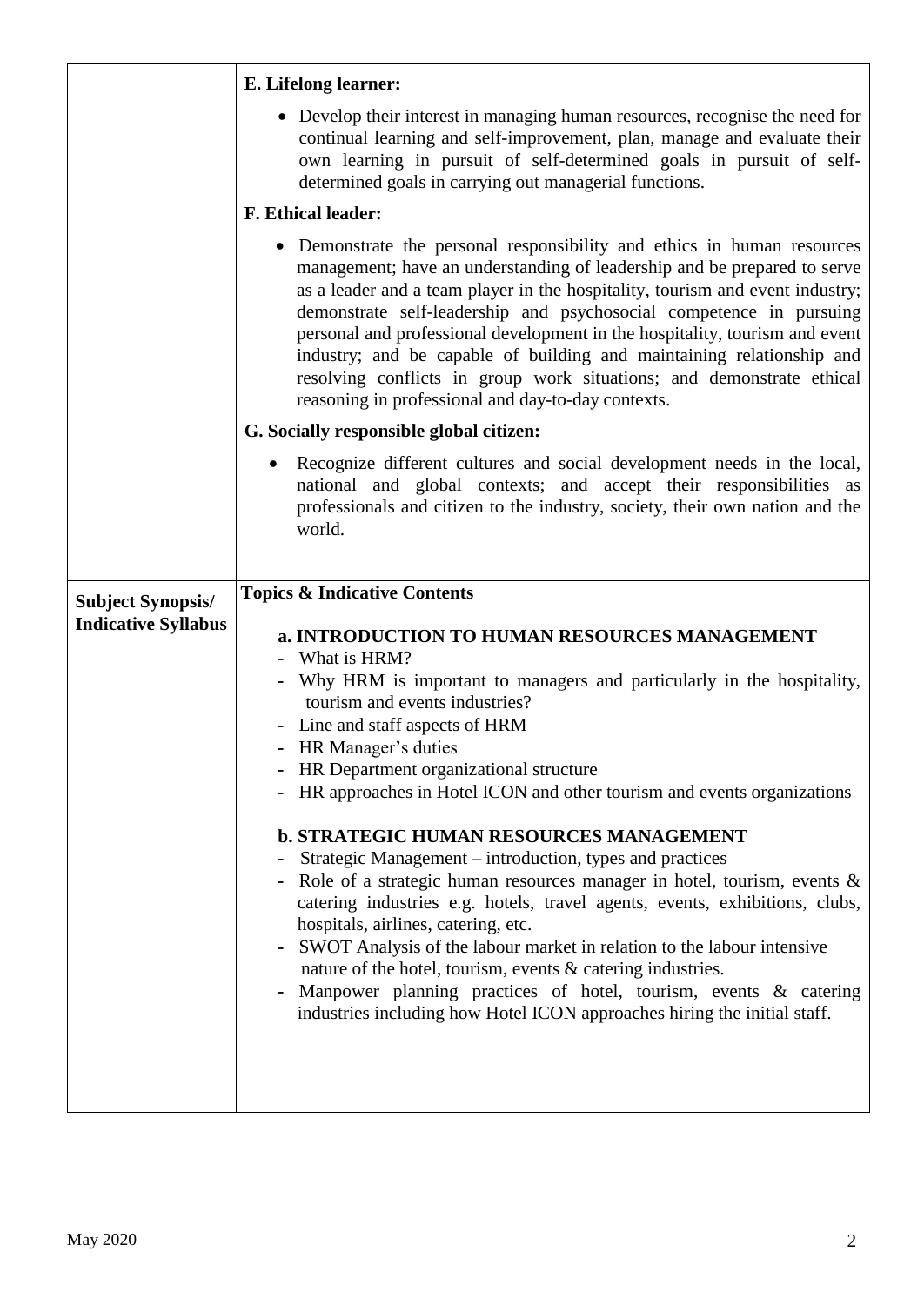| • Develop their interest in managing human resources, recognise the need for                                                                                                                                                                                                                                                                                                                                                                                                                                                                                                                                                                                                                                                                                                                                                                                                                                                                                                                              |
|-----------------------------------------------------------------------------------------------------------------------------------------------------------------------------------------------------------------------------------------------------------------------------------------------------------------------------------------------------------------------------------------------------------------------------------------------------------------------------------------------------------------------------------------------------------------------------------------------------------------------------------------------------------------------------------------------------------------------------------------------------------------------------------------------------------------------------------------------------------------------------------------------------------------------------------------------------------------------------------------------------------|
| continual learning and self-improvement, plan, manage and evaluate their<br>own learning in pursuit of self-determined goals in pursuit of self-<br>determined goals in carrying out managerial functions.                                                                                                                                                                                                                                                                                                                                                                                                                                                                                                                                                                                                                                                                                                                                                                                                |
| <b>F. Ethical leader:</b>                                                                                                                                                                                                                                                                                                                                                                                                                                                                                                                                                                                                                                                                                                                                                                                                                                                                                                                                                                                 |
| • Demonstrate the personal responsibility and ethics in human resources<br>management; have an understanding of leadership and be prepared to serve<br>as a leader and a team player in the hospitality, tourism and event industry;<br>demonstrate self-leadership and psychosocial competence in pursuing<br>personal and professional development in the hospitality, tourism and event<br>industry; and be capable of building and maintaining relationship and<br>resolving conflicts in group work situations; and demonstrate ethical<br>reasoning in professional and day-to-day contexts.                                                                                                                                                                                                                                                                                                                                                                                                        |
| G. Socially responsible global citizen:                                                                                                                                                                                                                                                                                                                                                                                                                                                                                                                                                                                                                                                                                                                                                                                                                                                                                                                                                                   |
| Recognize different cultures and social development needs in the local,<br>national and global contexts; and accept their responsibilities as<br>professionals and citizen to the industry, society, their own nation and the<br>world.                                                                                                                                                                                                                                                                                                                                                                                                                                                                                                                                                                                                                                                                                                                                                                   |
|                                                                                                                                                                                                                                                                                                                                                                                                                                                                                                                                                                                                                                                                                                                                                                                                                                                                                                                                                                                                           |
| <b>Topics &amp; Indicative Contents</b><br>a. INTRODUCTION TO HUMAN RESOURCES MANAGEMENT<br>What is HRM?<br>Why HRM is important to managers and particularly in the hospitality,<br>tourism and events industries?<br>Line and staff aspects of HRM<br>- HR Manager's duties<br>HR Department organizational structure<br>HR approaches in Hotel ICON and other tourism and events organizations<br><b>b. STRATEGIC HUMAN RESOURCES MANAGEMENT</b><br>Strategic Management - introduction, types and practices<br>Role of a strategic human resources manager in hotel, tourism, events &<br>catering industries e.g. hotels, travel agents, events, exhibitions, clubs,<br>hospitals, airlines, catering, etc.<br>SWOT Analysis of the labour market in relation to the labour intensive<br>nature of the hotel, tourism, events & catering industries.<br>Manpower planning practices of hotel, tourism, events & catering<br>industries including how Hotel ICON approaches hiring the initial staff. |
|                                                                                                                                                                                                                                                                                                                                                                                                                                                                                                                                                                                                                                                                                                                                                                                                                                                                                                                                                                                                           |